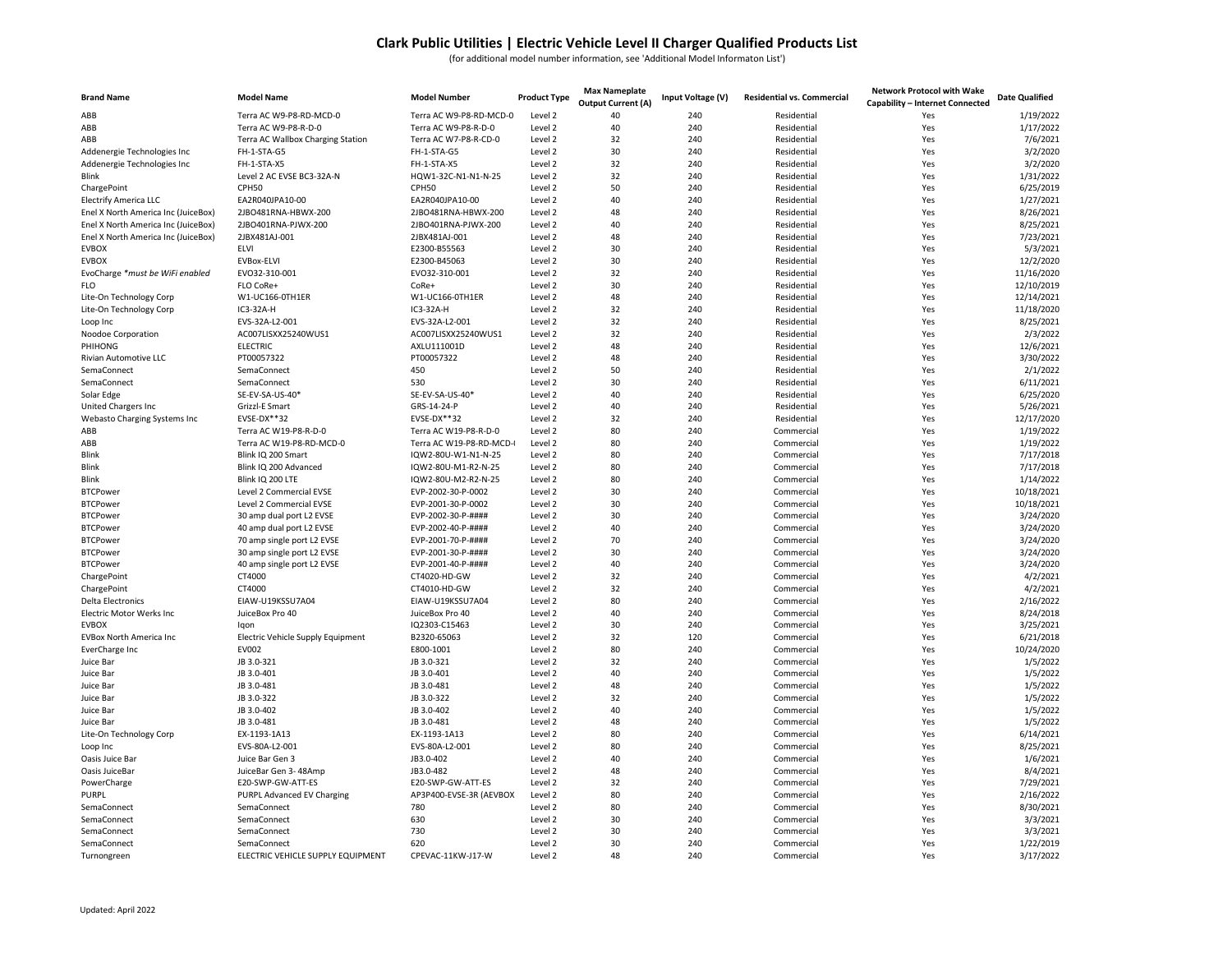## Clark Public Utilities | Electric Vehicle Level II Charger Qualified Products List

(for additional model number information, see 'Additional Model Informaton List')

| <b>Brand Name</b>                                                          | <b>Model Name</b>                          | <b>Model Number</b>                    | <b>Product Type</b> | <b>Max Nameplate</b><br><b>Output Current (A)</b> | Input Voltage (V) | <b>Residential vs. Commercial</b> | <b>Network Protocol with Wake</b><br>Capability - Internet Connected | <b>Date Qualified</b>   |
|----------------------------------------------------------------------------|--------------------------------------------|----------------------------------------|---------------------|---------------------------------------------------|-------------------|-----------------------------------|----------------------------------------------------------------------|-------------------------|
| ABB                                                                        | Terra AC W9-P8-RD-MCD-0                    | Terra AC W9-P8-RD-MCD-0                | Level 2             | 40                                                | 240               | Residential                       | Yes                                                                  | 1/19/2022               |
| ABB                                                                        | Terra AC W9-P8-R-D-0                       | Terra AC W9-P8-R-D-0                   | Level 2             | 40                                                | 240               | Residential                       | Yes                                                                  | 1/17/2022               |
| ABB                                                                        | Terra AC Wallbox Charging Station          | Terra AC W7-P8-R-CD-0                  | Level 2             | 32                                                | 240               | Residential                       | Yes                                                                  | 7/6/2021                |
| Addenergie Technologies Inc                                                | FH-1-STA-G5                                | FH-1-STA-G5                            | Level 2             | 30                                                | 240               | Residential                       | Yes                                                                  | 3/2/2020                |
| Addenergie Technologies Inc                                                | FH-1-STA-X5                                | FH-1-STA-X5                            | Level 2             | 32                                                | 240               | Residential                       | Yes                                                                  | 3/2/2020                |
| <b>Blink</b>                                                               | Level 2 AC EVSE BC3-32A-N                  | HQW1-32C-N1-N1-N-25                    | Level 2             | 32                                                | 240               | Residential                       | Yes                                                                  | 1/31/2022               |
| ChargePoint                                                                | CPH50                                      | CPH50                                  | Level 2             | 50<br>40                                          | 240               | Residential                       | Yes                                                                  | 6/25/2019               |
| <b>Electrify America LLC</b>                                               | EA2R040JPA10-00<br>2JBO481RNA-HBWX-200     | EA2R040JPA10-00<br>2JBO481RNA-HBWX-200 | Level 2<br>Level 2  | 48                                                | 240<br>240        | Residential<br>Residential        | Yes<br>Yes                                                           | 1/27/2021<br>8/26/2021  |
| Enel X North America Inc (JuiceBox)<br>Enel X North America Inc (JuiceBox) | 2JBO401RNA-PJWX-200                        | 2JBO401RNA-PJWX-200                    | Level 2             | 40                                                | 240               | Residential                       | Yes                                                                  | 8/25/2021               |
| Enel X North America Inc (JuiceBox)                                        | 2JBX481AJ-001                              | 2JBX481AJ-001                          | Level 2             | 48                                                | 240               | Residential                       | Yes                                                                  | 7/23/2021               |
| <b>EVBOX</b>                                                               | <b>ELVI</b>                                | E2300-B55563                           | Level 2             | 30                                                | 240               | Residential                       | Yes                                                                  | 5/3/2021                |
| <b>EVBOX</b>                                                               | <b>EVBox-ELVI</b>                          | E2300-B45063                           | Level 2             | 30                                                | 240               | Residential                       | Yes                                                                  | 12/2/2020               |
| EvoCharge *must be WiFi enabled                                            | EVO32-310-001                              | EVO32-310-001                          | Level 2             | 32                                                | 240               | Residential                       | Yes                                                                  | 11/16/2020              |
| <b>FLO</b>                                                                 | FLO CoRe+                                  | CoRe+                                  | Level 2             | 30                                                | 240               | Residential                       | Yes                                                                  | 12/10/2019              |
| Lite-On Technology Corp                                                    | W1-UC166-0TH1ER                            | W1-UC166-OTH1ER                        | Level 2             | 48                                                | 240               | Residential                       | Yes                                                                  | 12/14/2021              |
| Lite-On Technology Corp                                                    | IC3-32A-H                                  | IC3-32A-H                              | Level 2             | 32                                                | 240               | Residential                       | Yes                                                                  | 11/18/2020              |
| Loop Inc                                                                   | EVS-32A-L2-001                             | EVS-32A-L2-001                         | Level 2             | 32                                                | 240               | Residential                       | Yes                                                                  | 8/25/2021               |
| Noodoe Corporation                                                         | AC007LISXX25240WUS1                        | AC007LISXX25240WUS1                    | Level 2             | 32                                                | 240               | Residential                       | Yes                                                                  | 2/3/2022                |
| PHIHONG                                                                    | <b>ELECTRIC</b>                            | AXLU111001D                            | Level 2             | 48                                                | 240               | Residential                       | Yes                                                                  | 12/6/2021               |
| Rivian Automotive LLC                                                      | PT00057322                                 | PT00057322                             | Level 2             | 48                                                | 240               | Residential                       | Yes                                                                  | 3/30/2022               |
| SemaConnect                                                                | SemaConnect                                | 450                                    | Level 2             | 50                                                | 240               | Residential                       | Yes                                                                  | 2/1/2022                |
| SemaConnect                                                                | SemaConnect                                | 530                                    | Level 2             | 30                                                | 240               | Residential                       | Yes                                                                  | 6/11/2021               |
| Solar Edge                                                                 | SE-EV-SA-US-40*                            | SE-EV-SA-US-40*                        | Level 2             | 40                                                | 240               | Residential                       | Yes                                                                  | 6/25/2020               |
| United Chargers Inc                                                        | Grizzl-E Smart                             | GRS-14-24-P                            | Level 2             | 40                                                | 240               | Residential                       | Yes                                                                  | 5/26/2021               |
| Webasto Charging Systems Inc                                               | EVSE-DX**32                                | EVSE-DX**32                            | Level 2             | 32                                                | 240               | Residential                       | Yes                                                                  | 12/17/2020              |
| ABB                                                                        | Terra AC W19-P8-R-D-0                      | Terra AC W19-P8-R-D-0                  | Level 2             | 80                                                | 240               | Commercial                        | Yes                                                                  | 1/19/2022               |
| ABB                                                                        | Terra AC W19-P8-RD-MCD-0                   | Terra AC W19-P8-RD-MCD-                | Level 2             | 80                                                | 240               | Commercial                        | Yes                                                                  | 1/19/2022               |
| Blink                                                                      | Blink IQ 200 Smart                         | IQW2-80U-W1-N1-N-25                    | Level 2             | 80                                                | 240               | Commercial                        | Yes                                                                  | 7/17/2018               |
| Blink                                                                      | Blink IQ 200 Advanced                      | IQW2-80U-M1-R2-N-25                    | Level 2             | 80                                                | 240               | Commercial                        | Yes                                                                  | 7/17/2018               |
| <b>Blink</b>                                                               | Blink IQ 200 LTE                           | IQW2-80U-M2-R2-N-25                    | Level 2             | 80                                                | 240               | Commercial                        | Yes                                                                  | 1/14/2022               |
| <b>BTCPower</b>                                                            | Level 2 Commercial EVSE                    | EVP-2002-30-P-0002                     | Level 2             | 30                                                | 240               | Commercial                        | Yes                                                                  | 10/18/2021              |
| <b>BTCPower</b>                                                            | Level 2 Commercial EVSE                    | EVP-2001-30-P-0002                     | Level 2             | 30                                                | 240               | Commercial                        | Yes                                                                  | 10/18/2021              |
| <b>BTCPower</b>                                                            | 30 amp dual port L2 EVSE                   | EVP-2002-30-P-####                     | Level 2             | 30                                                | 240               | Commercial                        | Yes                                                                  | 3/24/2020               |
| <b>BTCPower</b>                                                            | 40 amp dual port L2 EVSE                   | EVP-2002-40-P-####                     | Level 2             | 40                                                | 240               | Commercial                        | Yes                                                                  | 3/24/2020               |
| <b>BTCPower</b>                                                            | 70 amp single port L2 EVSE                 | EVP-2001-70-P-####                     | Level 2             | 70                                                | 240               | Commercial                        | Yes                                                                  | 3/24/2020               |
| <b>BTCPower</b>                                                            | 30 amp single port L2 EVSE                 | EVP-2001-30-P-####                     | Level 2             | 30                                                | 240               | Commercial                        | Yes                                                                  | 3/24/2020               |
| <b>BTCPower</b>                                                            | 40 amp single port L2 EVSE                 | EVP-2001-40-P-####                     | Level 2             | 40                                                | 240               | Commercial                        | Yes                                                                  | 3/24/2020               |
| ChargePoint                                                                | CT4000                                     | CT4020-HD-GW                           | Level 2             | 32                                                | 240               | Commercial                        | Yes                                                                  | 4/2/2021                |
| ChargePoint                                                                | CT4000                                     | CT4010-HD-GW                           | Level 2             | 32                                                | 240               | Commercial                        | Yes                                                                  | 4/2/2021                |
| <b>Delta Electronics</b>                                                   | EIAW-U19KSSU7A04                           | EIAW-U19KSSU7A04                       | Level 2             | 80                                                | 240               | Commercial                        | Yes                                                                  | 2/16/2022               |
| Electric Motor Werks Inc                                                   | JuiceBox Pro 40                            | JuiceBox Pro 40                        | Level 2             | 40                                                | 240               | Commercial                        | Yes                                                                  | 8/24/2018               |
| <b>EVBOX</b>                                                               | Iqon                                       | IQ2303-C15463                          | Level 2<br>Level 2  | 30<br>32                                          | 240<br>120        | Commercial                        | Yes                                                                  | 3/25/2021               |
| EVBox North America Inc<br>EverCharge Inc                                  | Electric Vehicle Supply Equipment<br>EV002 | B2320-65063<br>E800-1001               | Level 2             | 80                                                | 240               | Commercial<br>Commercial          | Yes<br>Yes                                                           | 6/21/2018<br>10/24/2020 |
| Juice Bar                                                                  | JB 3.0-321                                 | JB 3.0-321                             | Level 2             | 32                                                | 240               | Commercial                        | Yes                                                                  | 1/5/2022                |
| Juice Bar                                                                  | JB 3.0-401                                 | JB 3.0-401                             | Level 2             | 40                                                | 240               | Commercial                        | Yes                                                                  | 1/5/2022                |
| Juice Bar                                                                  | JB 3.0-481                                 | JB 3.0-481                             | Level 2             | 48                                                | 240               | Commercial                        | Yes                                                                  | 1/5/2022                |
| Juice Bar                                                                  | JB 3.0-322                                 | JB 3.0-322                             | Level 2             | 32                                                | 240               | Commercial                        | Yes                                                                  | 1/5/2022                |
| Juice Bar                                                                  | JB 3.0-402                                 | JB 3.0-402                             | Level 2             | 40                                                | 240               | Commercial                        | Yes                                                                  | 1/5/2022                |
| Juice Bar                                                                  | JB 3.0-481                                 | JB 3.0-481                             | Level 2             | 48                                                | 240               | Commercial                        | Yes                                                                  | 1/5/2022                |
| Lite-On Technology Corp                                                    | EX-1193-1A13                               | EX-1193-1A13                           | Level 2             | 80                                                | 240               | Commercial                        | Yes                                                                  | 6/14/2021               |
| Loop Inc                                                                   | EVS-80A-L2-001                             | EVS-80A-L2-001                         | Level 2             | 80                                                | 240               | Commercial                        | Yes                                                                  | 8/25/2021               |
| Oasis Juice Bar                                                            | Juice Bar Gen 3                            | JB3.0-402                              | Level 2             | 40                                                | 240               | Commercial                        | Yes                                                                  | 1/6/2021                |
| Oasis JuiceBar                                                             | JuiceBar Gen 3-48Amp                       | JB3.0-482                              | Level 2             | 48                                                | 240               | Commercial                        | Yes                                                                  | 8/4/2021                |
| PowerCharge                                                                | E20-SWP-GW-ATT-ES                          | E20-SWP-GW-ATT-ES                      | Level 2             | 32                                                | 240               | Commercial                        | Yes                                                                  | 7/29/2021               |
| PURPL                                                                      | PURPL Advanced EV Charging                 | AP3P400-EVSE-3R (AEVBOX                | Level 2             | 80                                                | 240               | Commercial                        | Yes                                                                  | 2/16/2022               |
| SemaConnect                                                                | SemaConnect                                | 780                                    | Level 2             | 80                                                | 240               | Commercial                        | Yes                                                                  | 8/30/2021               |
| SemaConnect                                                                | SemaConnect                                | 630                                    | Level 2             | 30                                                | 240               | Commercial                        | Yes                                                                  | 3/3/2021                |
| SemaConnect                                                                | SemaConnect                                | 730                                    | Level 2             | 30                                                | 240               | Commercial                        | Yes                                                                  | 3/3/2021                |
| SemaConnect                                                                | SemaConnect                                | 620                                    | Level 2             | 30                                                | 240               | Commercial                        | Yes                                                                  | 1/22/2019               |
| Turnongreen                                                                | ELECTRIC VEHICLE SUPPLY EQUIPMENT          | CPEVAC-11KW-J17-W                      | Level 2             | 48                                                | 240               | Commercial                        | Yes                                                                  | 3/17/2022               |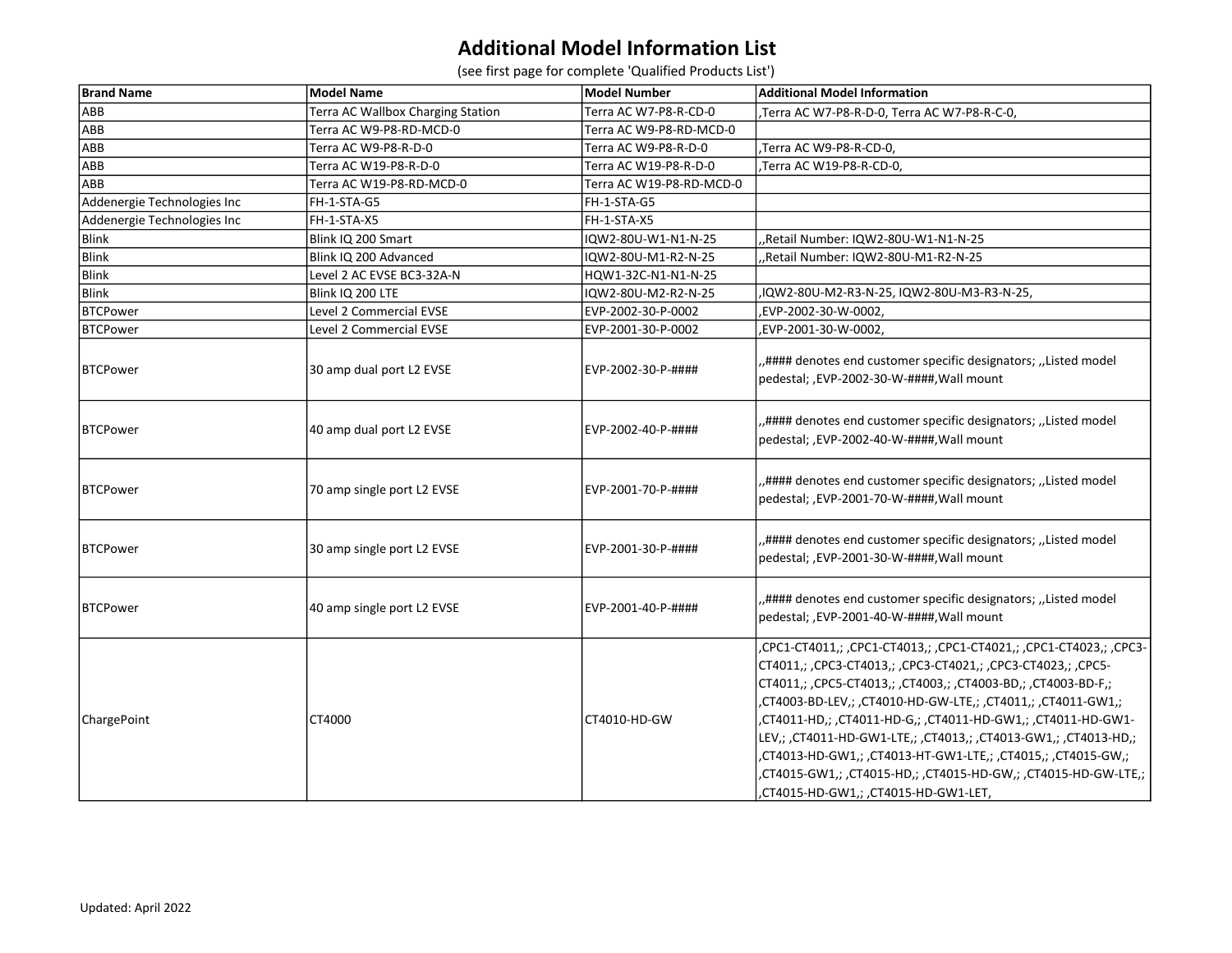## Additional Model Information List

(see first page for complete 'Qualified Products List')

| <b>Brand Name</b>           | <b>Model Name</b>                 | <b>Model Number</b>      | <b>Additional Model Information</b>                                                                                                                                                                                                                                                                                                                                                                                                                                                                                                                                              |
|-----------------------------|-----------------------------------|--------------------------|----------------------------------------------------------------------------------------------------------------------------------------------------------------------------------------------------------------------------------------------------------------------------------------------------------------------------------------------------------------------------------------------------------------------------------------------------------------------------------------------------------------------------------------------------------------------------------|
| ABB                         | Terra AC Wallbox Charging Station | Terra AC W7-P8-R-CD-0    | Terra AC W7-P8-R-D-0, Terra AC W7-P8-R-C-0,                                                                                                                                                                                                                                                                                                                                                                                                                                                                                                                                      |
| ABB                         | Terra AC W9-P8-RD-MCD-0           | Terra AC W9-P8-RD-MCD-0  |                                                                                                                                                                                                                                                                                                                                                                                                                                                                                                                                                                                  |
| ABB                         | Terra AC W9-P8-R-D-0              | Terra AC W9-P8-R-D-0     | ,Terra AC W9-P8-R-CD-0,                                                                                                                                                                                                                                                                                                                                                                                                                                                                                                                                                          |
| ABB                         | Terra AC W19-P8-R-D-0             | Terra AC W19-P8-R-D-0    | Terra AC W19-P8-R-CD-0,                                                                                                                                                                                                                                                                                                                                                                                                                                                                                                                                                          |
| ABB                         | Terra AC W19-P8-RD-MCD-0          | Terra AC W19-P8-RD-MCD-0 |                                                                                                                                                                                                                                                                                                                                                                                                                                                                                                                                                                                  |
| Addenergie Technologies Inc | FH-1-STA-G5                       | FH-1-STA-G5              |                                                                                                                                                                                                                                                                                                                                                                                                                                                                                                                                                                                  |
| Addenergie Technologies Inc | FH-1-STA-X5                       | FH-1-STA-X5              |                                                                                                                                                                                                                                                                                                                                                                                                                                                                                                                                                                                  |
| Blink                       | Blink IQ 200 Smart                | IQW2-80U-W1-N1-N-25      | Retail Number: IQW2-80U-W1-N1-N-25,                                                                                                                                                                                                                                                                                                                                                                                                                                                                                                                                              |
| <b>Blink</b>                | Blink IQ 200 Advanced             | IQW2-80U-M1-R2-N-25      | Retail Number: IQW2-80U-M1-R2-N-25                                                                                                                                                                                                                                                                                                                                                                                                                                                                                                                                               |
| <b>Blink</b>                | Level 2 AC EVSE BC3-32A-N         | HQW1-32C-N1-N1-N-25      |                                                                                                                                                                                                                                                                                                                                                                                                                                                                                                                                                                                  |
| <b>Blink</b>                | Blink IQ 200 LTE                  | IQW2-80U-M2-R2-N-25      | .IQW2-80U-M2-R3-N-25, IQW2-80U-M3-R3-N-25,                                                                                                                                                                                                                                                                                                                                                                                                                                                                                                                                       |
| <b>BTCPower</b>             | Level 2 Commercial EVSE           | EVP-2002-30-P-0002       | EVP-2002-30-W-0002,                                                                                                                                                                                                                                                                                                                                                                                                                                                                                                                                                              |
| <b>BTCPower</b>             | Level 2 Commercial EVSE           | EVP-2001-30-P-0002       | ,EVP-2001-30-W-0002,                                                                                                                                                                                                                                                                                                                                                                                                                                                                                                                                                             |
| BTCPower                    | 30 amp dual port L2 EVSE          | EVP-2002-30-P-####       | "#### denotes end customer specific designators; "Listed model<br>pedestal; ,EVP-2002-30-W-####,Wall mount                                                                                                                                                                                                                                                                                                                                                                                                                                                                       |
| BTCPower                    | 40 amp dual port L2 EVSE          | EVP-2002-40-P-####       | "#### denotes end customer specific designators; "Listed model<br>pedestal; ,EVP-2002-40-W-####,Wall mount                                                                                                                                                                                                                                                                                                                                                                                                                                                                       |
| <b>IBTCPower</b>            | 70 amp single port L2 EVSE        | EVP-2001-70-P-####       | "#### denotes end customer specific designators; "Listed model<br>pedestal; ,EVP-2001-70-W-####,Wall mount                                                                                                                                                                                                                                                                                                                                                                                                                                                                       |
| <b>IBTCPower</b>            | 30 amp single port L2 EVSE        | EVP-2001-30-P-####       | "#### denotes end customer specific designators; "Listed model<br>pedestal; ,EVP-2001-30-W-####,Wall mount                                                                                                                                                                                                                                                                                                                                                                                                                                                                       |
| <b>BTCPower</b>             | 40 amp single port L2 EVSE        | EVP-2001-40-P-####       | "#### denotes end customer specific designators; "Listed model<br>pedestal; ,EVP-2001-40-W-####,Wall mount                                                                                                                                                                                                                                                                                                                                                                                                                                                                       |
| ChargePoint                 | CT4000                            | CT4010-HD-GW             | ,CPC1-CT4011,; ,CPC1-CT4013,; ,CPC1-CT4021,; ,CPC1-CT4023,; ,CPC3-<br>CT4011,; ,CPC3-CT4013,; ,CPC3-CT4021,; ,CPC3-CT4023,; ,CPC5-<br>CT4011,; ,CPC5-CT4013,; ,CT4003,; ,CT4003-BD,; ,CT4003-BD-F,;<br>,CT4003-BD-LEV,; ,CT4010-HD-GW-LTE,; ,CT4011,; ,CT4011-GW1,;<br>,CT4011-HD,; ,CT4011-HD-G,; ,CT4011-HD-GW1,; ,CT4011-HD-GW1-<br>LEV,; ,CT4011-HD-GW1-LTE,; ,CT4013,; ,CT4013-GW1,; ,CT4013-HD,;<br>,CT4013-HD-GW1,; ,CT4013-HT-GW1-LTE,; ,CT4015,; ,CT4015-GW,;<br>,CT4015-GW1,; ,CT4015-HD,; ,CT4015-HD-GW,; ,CT4015-HD-GW-LTE,;<br>,CT4015-HD-GW1,; ,CT4015-HD-GW1-LET, |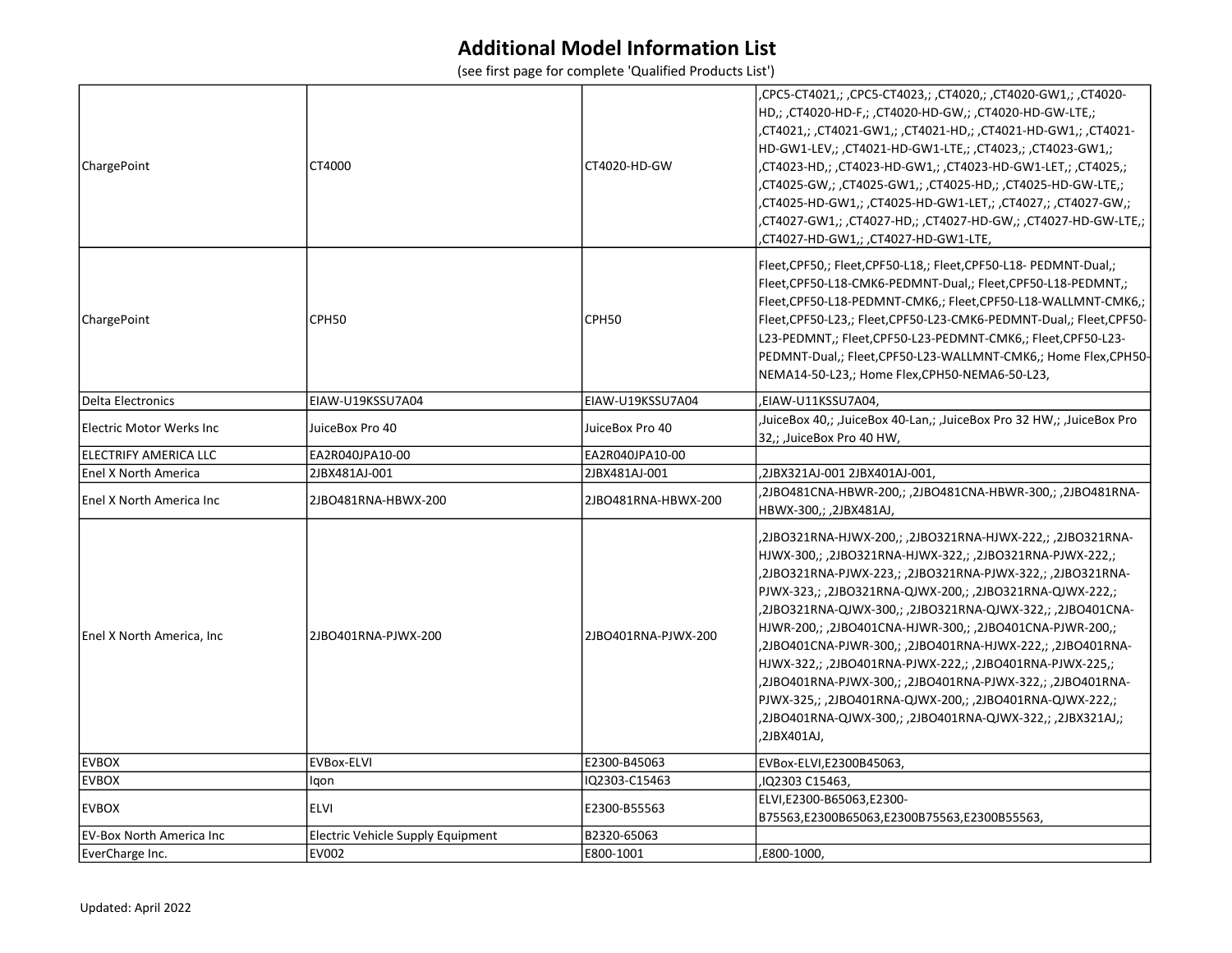## Additional Model Information List

(see first page for complete 'Qualified Products List')

| ChargePoint                 | CT4000                            | CT4020-HD-GW        | ,CPC5-CT4021,; ,CPC5-CT4023,; ,CT4020,; ,CT4020-GW1,; ,CT4020-<br>HD,; ,CT4020-HD-F,; ,CT4020-HD-GW,; ,CT4020-HD-GW-LTE,;<br>,CT4021,; ,CT4021-GW1,; ,CT4021-HD,; ,CT4021-HD-GW1,; ,CT4021-<br>HD-GW1-LEV,; ,CT4021-HD-GW1-LTE,; ,CT4023,; ,CT4023-GW1,;<br>,CT4023-HD,; ,CT4023-HD-GW1,; ,CT4023-HD-GW1-LET,; ,CT4025,;<br>,CT4025-GW,; ,CT4025-GW1,; ,CT4025-HD,; ,CT4025-HD-GW-LTE,;<br>,CT4025-HD-GW1,;            ,CT4025-HD-GW1-LET,;            ,CT4027,;      ,CT4027-GW,;<br>,CT4027-GW1,; ,CT4027-HD,; ,CT4027-HD-GW,; ,CT4027-HD-GW-LTE,;<br>,CT4027-HD-GW1,; ,CT4027-HD-GW1-LTE,                                                                                                                |
|-----------------------------|-----------------------------------|---------------------|-------------------------------------------------------------------------------------------------------------------------------------------------------------------------------------------------------------------------------------------------------------------------------------------------------------------------------------------------------------------------------------------------------------------------------------------------------------------------------------------------------------------------------------------------------------------------------------------------------------------------------------------------------------------------------------------------------------|
| ChargePoint                 | CPH50                             | CPH50               | Fleet, CPF50,; Fleet, CPF50-L18,; Fleet, CPF50-L18- PEDMNT-Dual,;<br>Fleet, CPF50-L18-CMK6-PEDMNT-Dual,; Fleet, CPF50-L18-PEDMNT,;<br>Fleet, CPF50-L18-PEDMNT-CMK6,; Fleet, CPF50-L18-WALLMNT-CMK6,;<br>Fleet,CPF50-L23,; Fleet,CPF50-L23-CMK6-PEDMNT-Dual,; Fleet,CPF50-<br>L23-PEDMNT,; Fleet,CPF50-L23-PEDMNT-CMK6,; Fleet,CPF50-L23-<br>PEDMNT-Dual,; Fleet,CPF50-L23-WALLMNT-CMK6,; Home Flex,CPH50-<br>NEMA14-50-L23,; Home Flex, CPH50-NEMA6-50-L23,                                                                                                                                                                                                                                                 |
| Delta Electronics           | EIAW-U19KSSU7A04                  | EIAW-U19KSSU7A04    | ,EIAW-U11KSSU7A04,                                                                                                                                                                                                                                                                                                                                                                                                                                                                                                                                                                                                                                                                                          |
| lElectric Motor Werks Inc   | JuiceBox Pro 40                   | JuiceBox Pro 40     | JuiceBox 40,; ,JuiceBox 40-Lan,; ,JuiceBox Pro 32 HW,; ,JuiceBox Pro,<br>32,; , JuiceBox Pro 40 HW,                                                                                                                                                                                                                                                                                                                                                                                                                                                                                                                                                                                                         |
| ELECTRIFY AMERICA LLC       | EA2R040JPA10-00                   | EA2R040JPA10-00     |                                                                                                                                                                                                                                                                                                                                                                                                                                                                                                                                                                                                                                                                                                             |
| <b>Enel X North America</b> | 2JBX481AJ-001                     | 2JBX481AJ-001       | ,2JBX321AJ-001 2JBX401AJ-001,                                                                                                                                                                                                                                                                                                                                                                                                                                                                                                                                                                                                                                                                               |
| Enel X North America Inc    | 2JBO481RNA-HBWX-200               | 2JBO481RNA-HBWX-200 | 2JBO481CNA-HBWR-200,; ,2JBO481CNA-HBWR-300,; ,2JBO481RNA-<br>HBWX-300,; ,2JBX481AJ,                                                                                                                                                                                                                                                                                                                                                                                                                                                                                                                                                                                                                         |
| Enel X North America, Inc   | 2JBO401RNA-PJWX-200               | 2JBO401RNA-PJWX-200 | ,2JBO321RNA-HJWX-200,; ,2JBO321RNA-HJWX-222,; ,2JBO321RNA-<br>HJWX-300,; ,2JBO321RNA-HJWX-322,; ,2JBO321RNA-PJWX-222,;<br>,2JBO321RNA-PJWX-223,; ,2JBO321RNA-PJWX-322,; ,2JBO321RNA-<br>PJWX-323,; ,2JBO321RNA-QJWX-200,; ,2JBO321RNA-QJWX-222,;<br>,2JBO321RNA-QJWX-300,; ,2JBO321RNA-QJWX-322,; ,2JBO401CNA-<br>HJWR-200,; ,2JBO401CNA-HJWR-300,; ,2JBO401CNA-PJWR-200,;<br>,2JBO401CNA-PJWR-300,; ,2JBO401RNA-HJWX-222,; ,2JBO401RNA-<br>HJWX-322,; ,2JBO401RNA-PJWX-222,; ,2JBO401RNA-PJWX-225,;<br>,2JBO401RNA-PJWX-300,; ,2JBO401RNA-PJWX-322,; ,2JBO401RNA-<br>PJWX-325,; ,2JBO401RNA-QJWX-200,; ,2JBO401RNA-QJWX-222,;<br>,2JBO401RNA-QJWX-300,; ,2JBO401RNA-QJWX-322,; ,2JBX321AJ,;<br>,2JBX401AJ, |
| <b>EVBOX</b>                | <b>EVBox-ELVI</b>                 | E2300-B45063        | EVBox-ELVI, E2300B45063,                                                                                                                                                                                                                                                                                                                                                                                                                                                                                                                                                                                                                                                                                    |
| <b>EVBOX</b>                | lgon                              | IQ2303-C15463       | ,IQ2303 C15463,                                                                                                                                                                                                                                                                                                                                                                                                                                                                                                                                                                                                                                                                                             |
| <b>EVBOX</b>                | <b>ELVI</b>                       | E2300-B55563        | ELVI, E2300-B65063, E2300-<br>B75563,E2300B65063,E2300B75563,E2300B55563,                                                                                                                                                                                                                                                                                                                                                                                                                                                                                                                                                                                                                                   |
| EV-Box North America Inc    | Electric Vehicle Supply Equipment | B2320-65063         |                                                                                                                                                                                                                                                                                                                                                                                                                                                                                                                                                                                                                                                                                                             |
| EverCharge Inc.             | <b>EV002</b>                      | E800-1001           | ,E800-1000,                                                                                                                                                                                                                                                                                                                                                                                                                                                                                                                                                                                                                                                                                                 |